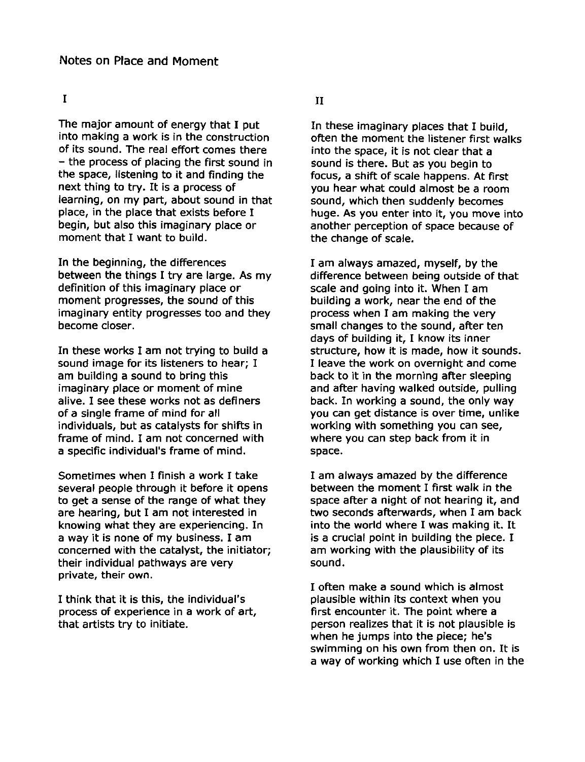## I

The major amount of energy that I put into making a work is in the construction of its sound. The real effort comes there - the process of placing the first sound in the space, listening to it and finding the next thing to try. It is a process of learning, on my part, about sound in that place, in the place that exists before I begin, but also this imaginary place or moment that I want to build.

In the beginning, the differences between the things I try are large. As my definition of this imaginary place or moment progresses, the sound of this imaginary entity progresses too and they become closer.

In these works I am not trying to build a sound image for its listeners to hear; I am building a sound to bring this imaginary place or moment of mine alive. I see these works not as definers of a single frame of mind for all individuals, but as catalysts for shifts in frame of mind. I am not concerned with a specific individual's frame of mind.

Sometimes when I finish a work I take several people through it before it opens to get a sense of the range of what they are hearing, but I am not interested in knowing what they are experiencing. In a way it is none of my business. I am concerned with the catalyst, the initiator; their individual pathways are very private, their own.

I think that it is this, the individual's process of experience in a work of art, that artists try to initiate.

## II

In these imaginary places that I build, often the moment the listener first walks into the space, it is not clear that a sound is there. But as you begin to focus, a shift of scale happens. At first you hear what could almost be a room sound, which then suddenly becomes huge. As you enter into it, you move into another perception of space because of the change of scale.

I am always amazed, myself, by the difference between being outside of that scale and going into it. When I am building a work, near the end of the process when I am making the very small changes to the sound, after ten days of building it, I know its inner structure, how it is made, how it sounds. I leave the work on overnight and come back to it in the morning after sleeping and after having walked outside, pulling back. In working a sound, the only way you can get distance is over time, unlike working with something you can see, where you can step back from it in space.

I am always amazed by the difference between the moment I first walk in the space after a night of not hearing it, and two seconds afterwards, when I am back into the world where I was making it. It is a crucial point in building the piece. I am working with the plausibility of its sound.

I often make a sound which is almost plausible within its context when you first encounter it. The point where a person realizes that it is not plausible is when he jumps into the piece; he's swimming on his own from then on. It is a way of working which I use often in the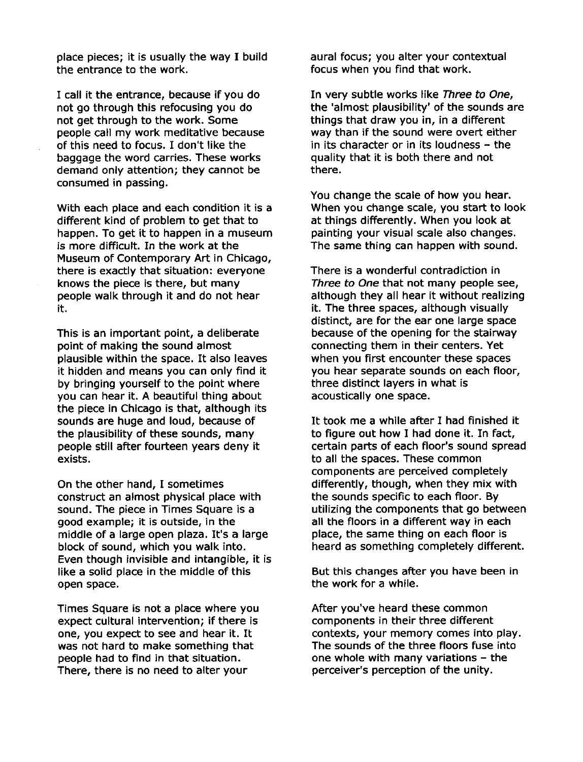place pieces; it is usually the way I build the entrance to the work.

I call it the entrance, because if you do not go through this refocusing you do not get through to the work. Some people call my work meditative because of this need to focus. I don't like the baggage the word carries. These works demand only attention; they cannot be consumed in passing.

With each place and each condition it is a different kind of problem to get that to happen. To get it to happen in a museum is more difficult. In the work at the Museum of Contemporary Art in Chicago, there is exactly that situation: everyone knows the piece is there, but many people walk through it and do not hear it.

This is an important point, a deliberate point of making the sound almost plausible within the space. It also leaves it hidden and means you can only find it by bringing yourself to the point where you can hear it. A beautiful thing about the piece in Chicago is that, although its sounds are huge and loud, because of the plausibility of these sounds, many people still after fourteen years deny it exists.

On the other hand, I sometimes construct an almost physical place with sound. The piece in Times Square is a good example; it is outside, in the middle of a large open plaza. It's a large block of sound, which you walk into. Even though invisible and intangible, it is like a solid place in the middle of this open space.

Times Square is not a place where you expect cultural intervention; if there is one, you expect to see and hear it. It was not hard to make something that people had to find in that situation. There, there is no need to alter your

aural focus; you alter your contextual focus when you find that work.

In very subtle works like Three to One, the 'almost plausibility' of the sounds are things that draw you in, in a different way than if the sound were overt either in its character or in its loudness - the quality that it is both there and not there.

You change the scale of how you hear. When you change scale, you start to look at things differently. When you look at painting your visual scale also changes. The same thing can happen with sound.

There is a wonderful contradiction in Three to One that not many people see, although they all hear it without realizing it. The three spaces, although visually distinct, are for the ear one large space because of the opening for the stairway connecting them in their centers. Yet when you first encounter these spaces you hear separate sounds on each floor, three distinct layers in what is acoustically one space.

It took me a while after I had finished it to figure out how I had done it. In fact, certain parts of each floor's sound spread to all the spaces. These common components are perceived completely differently, though, when they mix with the sounds specific to each floor. By utilizing the components that go between all the floors in a different way in each place, the same thing on each floor is heard as something completely different.

But this changes after you have been in the work for a while.

After you've heard these common components in their three different contexts, your memory comes into play. The sounds of the three floors fuse into one whole with many variations - the perceiver's perception of the unity.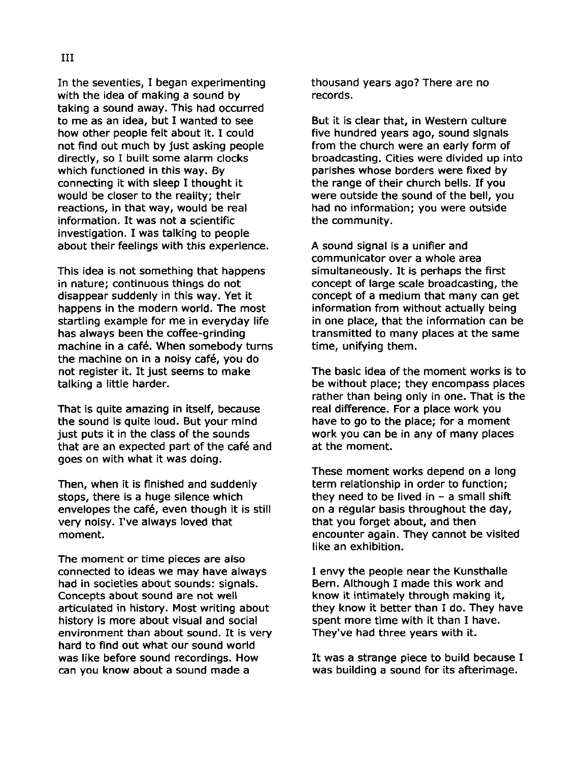In the seventies, I began experimenting with the idea of making a sound by taking a sound away. This had occurred to me as an idea, but I wanted to see how other people felt about it. I could not find out much by just asking people directly, so I built some alarm clocks which functioned in this way. By connecting it with sleep I thought it would be closer to the reality; their reactions, in that way, would be real information. It was not a scientific investigation. I was talking to people about their feelings with this experience.

This idea is not something that happens in nature; continuous things do not disappear suddenly in this way. Yet it happens in the modern world. The most startling example for me in everyday life has always been the coffee-grinding machine in a café. When somebody turns the machine on in a noisy cafe, you do not register it. It just seems to make talking a little harder.

That is quite amazing in itself, because the sound is quite loud. But your mind just puts it in the class of the sounds that are an expected part of the café and goes on with what it was doing.

Then, when it is finished and suddenly stops, there is a huge silence which envelopes the café, even though it is still very noisy. I've always loved that moment.

The moment or time pieces are also connected to ideas we may have always had in SOCieties about sounds: signals. Concepts about sound are not well articulated in history. Most writing about history is more about visual and social environment than about sound. It is very hard to find out what our sound world was like before sound recordings. How can you know about a sound made a

thousand years ago? There are no records.

But it is clear that, in Western culture five hundred years ago, sound signals from the church were an early form of broadcasting. Cities were divided up into parishes whose borders were fixed by the range of their church bells. If you were outside the sound of the bell, you had no information; you were outside the community.

A sound signal is a unifier and communicator over a whole area simultaneously. It is perhaps the first concept of large scale broadcasting, the concept of a medium that many can get information from without actually being in one place, that the information can be transmitted to many places at the same time, unifying them.

The basic idea of the moment works is to be without place; they encompass places rather than being only in one. That is the real difference. For a place work you have to go to the place; for a moment work you can be in any of many places at the moment.

These moment works depend on a long term relationship in order to function; they need to be lived in  $-$  a small shift on a regular basis throughout the day, that you forget about, and then encounter again. They cannot be visited like an exhibition.

I envy the people near the Kunsthalle Bern. Although I made this work and know it intimately through making it, they know it better than I do. They have spent more time with it than I have. They've had three years with it.

It was a strange piece to build because I was building a sound for its afterimage.